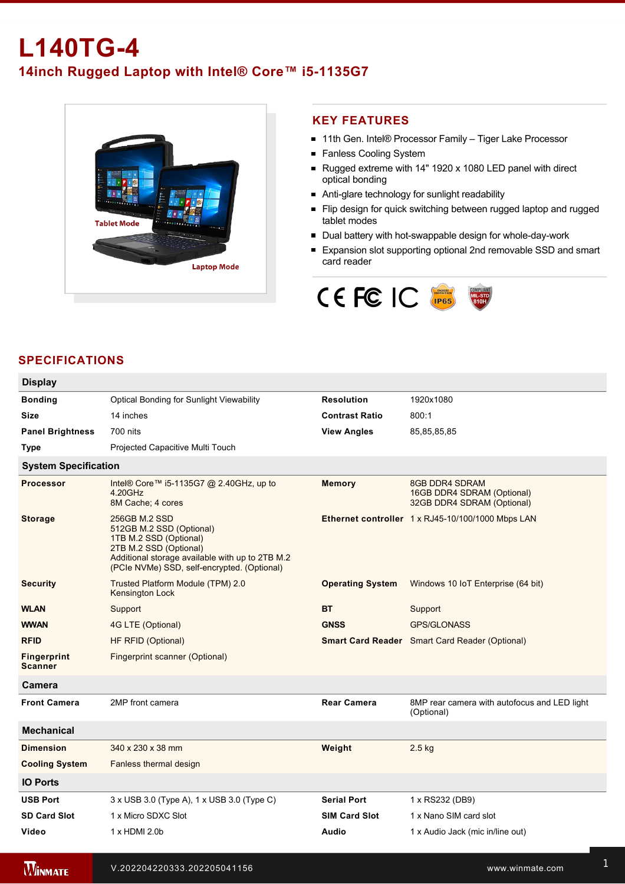# **L140TG4 14inch Rugged Laptop with Intel® Core™ i5-1135G7**



### **KEY FEATURES**

- 11th Gen. Intel® Processor Family Tiger Lake Processor
- **Fanless Cooling System**
- Rugged extreme with 14" 1920 x 1080 LED panel with direct optical bonding
- Anti-glare technology for sunlight readability
- Flip design for quick switching between rugged laptop and rugged tablet modes
- Dual battery with hot-swappable design for whole-day-work
- Expansion slot supporting optional 2nd removable SSD and smart card reader



## **SPECIFICATIONS**

| <b>Display</b>                       |                                                                                                                                                                                                 |                         |                                                                            |  |  |
|--------------------------------------|-------------------------------------------------------------------------------------------------------------------------------------------------------------------------------------------------|-------------------------|----------------------------------------------------------------------------|--|--|
| <b>Bonding</b>                       | <b>Optical Bonding for Sunlight Viewability</b>                                                                                                                                                 | <b>Resolution</b>       | 1920x1080                                                                  |  |  |
| Size                                 | 14 inches                                                                                                                                                                                       | <b>Contrast Ratio</b>   | 800:1                                                                      |  |  |
| <b>Panel Brightness</b>              | 700 nits                                                                                                                                                                                        | <b>View Angles</b>      | 85,85,85,85                                                                |  |  |
| Type                                 | Projected Capacitive Multi Touch                                                                                                                                                                |                         |                                                                            |  |  |
| <b>System Specification</b>          |                                                                                                                                                                                                 |                         |                                                                            |  |  |
| <b>Processor</b>                     | Intel® Core™ i5-1135G7 @ 2.40GHz, up to<br>4.20GHz<br>8M Cache; 4 cores                                                                                                                         | <b>Memory</b>           | 8GB DDR4 SDRAM<br>16GB DDR4 SDRAM (Optional)<br>32GB DDR4 SDRAM (Optional) |  |  |
| <b>Storage</b>                       | 256GB M.2 SSD<br>512GB M.2 SSD (Optional)<br>1TB M.2 SSD (Optional)<br>2TB M.2 SSD (Optional)<br>Additional storage available with up to 2TB M.2<br>(PCIe NVMe) SSD, self-encrypted. (Optional) |                         | Ethernet controller 1 x RJ45-10/100/1000 Mbps LAN                          |  |  |
| <b>Security</b>                      | Trusted Platform Module (TPM) 2.0<br>Kensington Lock                                                                                                                                            | <b>Operating System</b> | Windows 10 IoT Enterprise (64 bit)                                         |  |  |
| <b>WLAN</b>                          | Support                                                                                                                                                                                         | <b>BT</b>               | Support                                                                    |  |  |
| <b>WWAN</b>                          | 4G LTE (Optional)                                                                                                                                                                               | <b>GNSS</b>             | <b>GPS/GLONASS</b>                                                         |  |  |
| <b>RFID</b>                          | HF RFID (Optional)                                                                                                                                                                              |                         | <b>Smart Card Reader</b> Smart Card Reader (Optional)                      |  |  |
| <b>Fingerprint</b><br><b>Scanner</b> | Fingerprint scanner (Optional)                                                                                                                                                                  |                         |                                                                            |  |  |
| Camera                               |                                                                                                                                                                                                 |                         |                                                                            |  |  |
| <b>Front Camera</b>                  | 2MP front camera                                                                                                                                                                                | <b>Rear Camera</b>      | 8MP rear camera with autofocus and LED light<br>(Optional)                 |  |  |
| <b>Mechanical</b>                    |                                                                                                                                                                                                 |                         |                                                                            |  |  |
| <b>Dimension</b>                     | 340 x 230 x 38 mm                                                                                                                                                                               | Weight                  | $2.5$ kg                                                                   |  |  |
| <b>Cooling System</b>                | Fanless thermal design                                                                                                                                                                          |                         |                                                                            |  |  |
| <b>IO Ports</b>                      |                                                                                                                                                                                                 |                         |                                                                            |  |  |
| <b>USB Port</b>                      | 3 x USB 3.0 (Type A), 1 x USB 3.0 (Type C)                                                                                                                                                      | <b>Serial Port</b>      | 1 x RS232 (DB9)                                                            |  |  |
| <b>SD Card Slot</b>                  | 1 x Micro SDXC Slot                                                                                                                                                                             | <b>SIM Card Slot</b>    | 1 x Nano SIM card slot                                                     |  |  |
| Video                                | 1 x HDMI 2.0b                                                                                                                                                                                   | Audio                   | 1 x Audio Jack (mic in/line out)                                           |  |  |